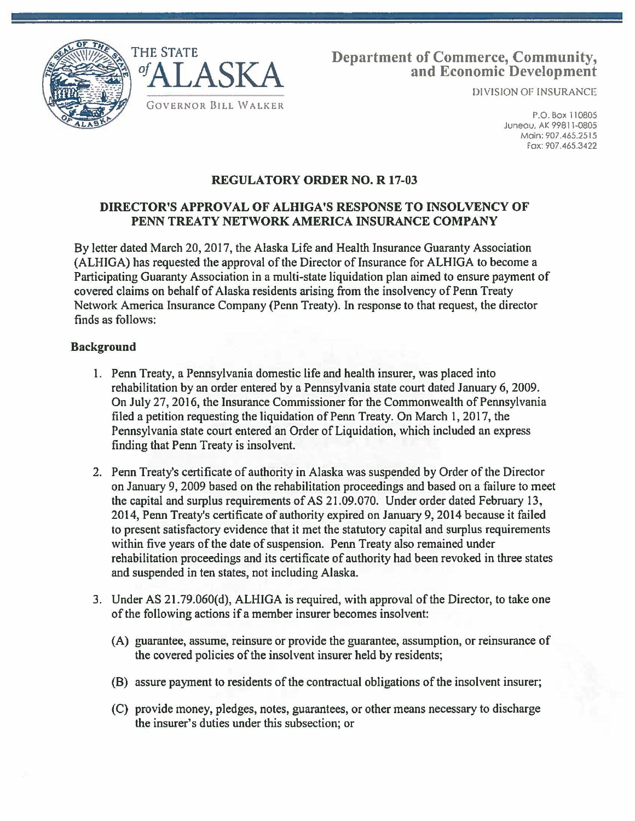



# Department of Commerce, Community, and Economic Development

DIVISION OF INSURANCE

P.O. Box 110805 Juneau, AK 99811-0805 Main: 907.465.2515 Fox: 907.465.3422

## REGULATORY ORDER NO. R 17-03

### DIRECTOR'S APPROVAL OF ALHIGA'S RESPONSE TO INSOLVENCY OF PENN TREATY NETWORK AMERICA INSURANCE COMPANY

By letter dated March 20, 2017, the Alaska Life and Health Insurance Guaranty Association (ALHIGA) has requested the approval of the Director of Insurance for ALHIGA to become a Participating Guaranty Association in a multi-state liquidation plan aimed to ensure payment of covered claims on behalf of Alaska residents arising from the insolvency of Penn Treaty Network America Insurance Company (Penn Treaty). In response to that request, the director finds as follows:

### Background

- 1. Penn Treaty, a Pennsylvania domestic life and health insurer, was placed into rehabilitation by an order entered by a Pennsylvania state court dated January 6, 2009. On July 27, 2016, the Insurance Commissioner for the Commonwealth of Pennsylvania filed a petition requesting the liquidation of Penn Treaty. On March 1, 2017, the Pennsylvania state court entered an Order of Liquidation, which included an express finding that Penn Treaty is insolvent.
- 2. Penn Treaty's certificate of authority in Alaska was suspended by Order of the Director on January 9, 2009 based on the rehabilitation proceedings and based on a failure to meet the capital and surplus requirements of AS 21.09.070. Under order dated February 13, 2014, Penn Treaty's certificate of authority expired on January 9, 2014 because it failed to present satisfactory evidence that it met the statutory capital and surplus requirements within five years of the date of suspension. Penn Treaty also remained under rehabilitation proceedings and its certificate of authority had been revoked in three states and suspended in ten states, not including Alaska.
- 3. Under AS 21.79.060(d), ALHIGA is required, with approval of the Director, to take one of the following actions if a member insurer becomes insolvent:
	- (A) guarantee, assume, reinsure or provide the guarantee, assumption, or reinsurance of the covered policies of the insolvent insurer held by residents;
	- (8) assure payment to residents of the contractual obligations of the insolvent insurer;
	- (C) provide money, pledges, notes, guarantees, or other means necessary to discharge the insurer's duties under this subsection; or